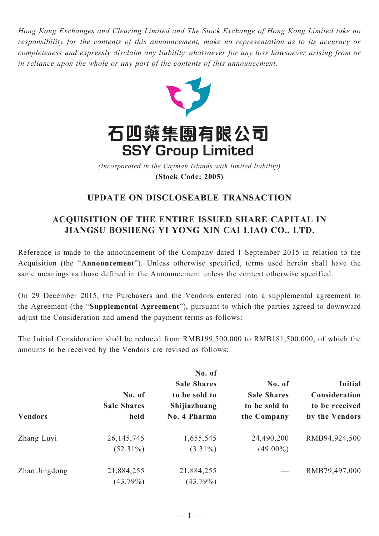*Hong Kong Exchanges and Clearing Limited and The Stock Exchange of Hong Kong Limited take no responsibility for the contents of this announcement, make no representation as to its accuracy or completeness and expressly disclaim any liability whatsoever for any loss howsoever arising from or in reliance upon the whole or any part of the contents of this announcement.*



**(Stock Code: 2005)** *(Incorporated in the Cayman Islands with limited liability)* 

## **UPDATE ON DISCLOSEABLE TRANSACTION**

## **ACQUISITION OF THE ENTIRE ISSUED SHARE CAPITAL IN JIANGSU BOSHENG YI YONG XIN CAI LIAO CO., LTD.**

Reference is made to the announcement of the Company dated 1 September 2015 in relation to the Acquisition (the "**Announcement**"). Unless otherwise specified, terms used herein shall have the same meanings as those defined in the Announcement unless the context otherwise specified.

On 29 December 2015, the Purchasers and the Vendors entered into a supplemental agreement to the Agreement (the "**Supplemental Agreement**"), pursuant to which the parties agreed to downward adjust the Consideration and amend the payment terms as follows:

The Initial Consideration shall be reduced from RMB199,500,000 to RMB181,500,000, of which the amounts to be received by the Vendors are revised as follows:

| <b>Vendors</b> | No. of<br><b>Sale Shares</b><br>held | No. of<br><b>Sale Shares</b><br>to be sold to<br>Shijiazhuang<br>No. 4 Pharma | No. of<br><b>Sale Shares</b><br>to be sold to<br>the Company | <b>Initial</b><br>Consideration<br>to be received<br>by the Vendors |
|----------------|--------------------------------------|-------------------------------------------------------------------------------|--------------------------------------------------------------|---------------------------------------------------------------------|
| Zhang Luyi     | 26, 145, 745                         | 1,655,545                                                                     | 24,490,200                                                   | RMB94,924,500                                                       |
|                | $(52.31\%)$                          | $(3.31\%)$                                                                    | $(49.00\%)$                                                  |                                                                     |
| Zhao Jingdong  | 21,884,255                           | 21,884,255                                                                    |                                                              | RMB79,497,000                                                       |
|                | $(43.79\%)$                          | $(43.79\%)$                                                                   |                                                              |                                                                     |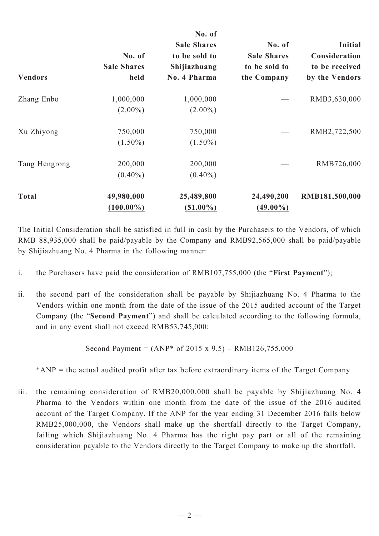| <b>Vendors</b> | No. of<br><b>Sale Shares</b><br>held | No. of<br><b>Sale Shares</b><br>to be sold to<br>Shijiazhuang<br>No. 4 Pharma | No. of<br><b>Sale Shares</b><br>to be sold to<br>the Company | <b>Initial</b><br>Consideration<br>to be received<br>by the Vendors |
|----------------|--------------------------------------|-------------------------------------------------------------------------------|--------------------------------------------------------------|---------------------------------------------------------------------|
| Zhang Enbo     | 1,000,000                            | 1,000,000                                                                     |                                                              | RMB3,630,000                                                        |
|                | $(2.00\%)$                           | $(2.00\%)$                                                                    |                                                              |                                                                     |
| Xu Zhiyong     | 750,000                              | 750,000                                                                       |                                                              | RMB2,722,500                                                        |
|                | $(1.50\%)$                           | $(1.50\%)$                                                                    |                                                              |                                                                     |
| Tang Hengrong  | 200,000                              | 200,000                                                                       |                                                              | RMB726,000                                                          |
|                | $(0.40\%)$                           | $(0.40\%)$                                                                    |                                                              |                                                                     |
| <b>Total</b>   | 49,980,000                           | 25,489,800                                                                    | 24,490,200                                                   | RMB181,500,000                                                      |
|                | $(100.00\%)$                         | $(51.00\%)$                                                                   | $(49.00\%)$                                                  |                                                                     |

The Initial Consideration shall be satisfied in full in cash by the Purchasers to the Vendors, of which RMB 88,935,000 shall be paid/payable by the Company and RMB92,565,000 shall be paid/payable by Shijiazhuang No. 4 Pharma in the following manner:

- i. the Purchasers have paid the consideration of RMB107,755,000 (the "**First Payment**");
- ii. the second part of the consideration shall be payable by Shijiazhuang No. 4 Pharma to the Vendors within one month from the date of the issue of the 2015 audited account of the Target Company (the "**Second Payment**") and shall be calculated according to the following formula, and in any event shall not exceed RMB53,745,000:

Second Payment =  $(ANP^*$  of 2015 x 9.5) – RMB126,755,000

\*ANP = the actual audited profit after tax before extraordinary items of the Target Company

iii. the remaining consideration of RMB20,000,000 shall be payable by Shijiazhuang No. 4 Pharma to the Vendors within one month from the date of the issue of the 2016 audited account of the Target Company. If the ANP for the year ending 31 December 2016 falls below RMB25,000,000, the Vendors shall make up the shortfall directly to the Target Company, failing which Shijiazhuang No. 4 Pharma has the right pay part or all of the remaining consideration payable to the Vendors directly to the Target Company to make up the shortfall.